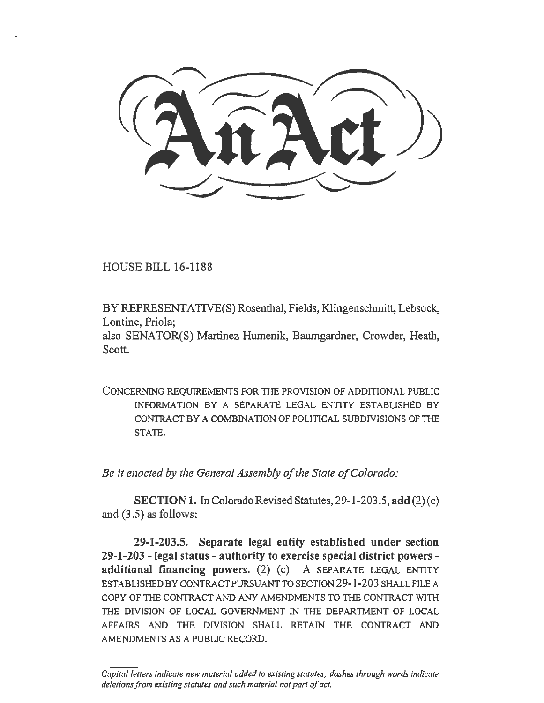HOUSE BILL 16-1188

BY REPRESENT ATIVE(S) Rosenthal, Fields, Klingenschmitt, Lebsock, Lontine, Priola;

also SENATOR(S) Martinez Humenik, Baumgardner, Crowder, Heath, Scott.

CONCERNING REQUIREMENTS FOR THE PROVISION OF ADDITIONAL PUBLIC INFORMATION BY A SEPARATE LEGAL ENTITY ESTABLISHED BY CONTRACT BY A COMBINATION OF POLITICAL SUBDIVISIONS OF THE STATE.

*Be it enacted by the General Assembly of the State of Colorado:* 

SECTION 1. In Colorado Revised Statutes, 29-1-203.5, add (2)(c) and (3.5) as follows:

29-1-203.5. Separate legal entity established under section 29-1-203 - legal status - authority to exercise special district powers additional financing powers.  $(2)$   $(c)$  A SEPARATE LEGAL ENTITY ESTABLISHED BY CONTRACT PURSUANT TO SECTION 29-1-203 SHALL FILE A COPY OF THE CONTRACT AND ANY AMENDMENTS TO THE CONTRACT WITH THE DIVISION OF LOCAL GOVERNMENT IN THE DEPARTMENT OF LOCAL AFFAIRS AND THE DIVISION SHALL RETAIN THE CONTRACT AND AMENDMENTS AS A PUBLIC RECORD.

*Capital letters indicate new material added to existing statutes; dashes through words indicate deletions from existing statutes and such material not part of act.*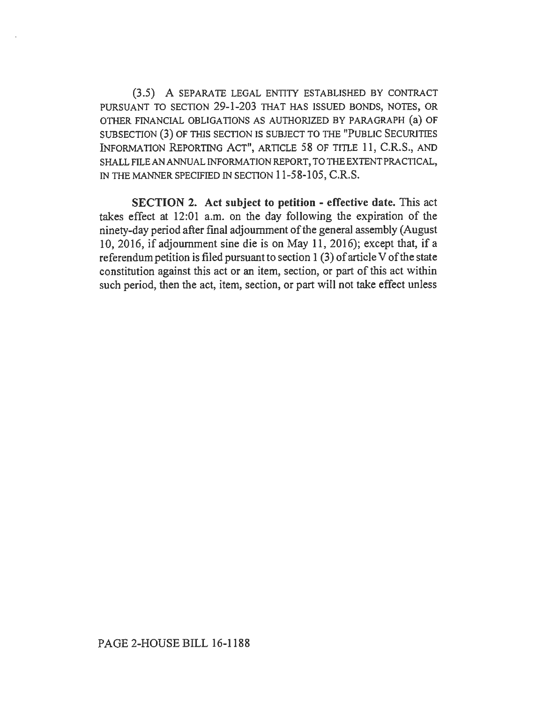(3.5) A SEPARATE LEGAL ENTITY ESTABLISHED BY CONTRACT PURSUANT TO SECTION 29-1-203 THAT HAS ISSUED BONDS, NOTES, OR OTHER FINANCIAL OBLIGATIONS AS AUTHORIZED BY PARAGRAPH (a) OF SUBSECTION (3) OF THIS SECTION IS SUBJECT TO THE "PUBLIC SECURITIES INFORMATION REPORTING ACT", ARTICLE 58 OF TITLE 11, C.R.S., AND SHALL FILE AN ANNUAL INFORMATION REPORT, TO THE EXTENT PRACTICAL, IN THE MANNER SPECIFIED IN SECTION 11-58-105, C.R.S.

SECTION 2. Act subject to petition - effective date. This act takes effect at 12:01 a.m. on the day following the expiration of the ninety-day period after final adjournment of the general assembly (August 10, 2016, if adjournment sine die is on May 11, 2016); except that, if a referendum petition is filed pursuant to section 1 (3) of article V of the state constitution against this act or an item, section, or part of this act within such period, then the act, item, section, or part will not take effect unless